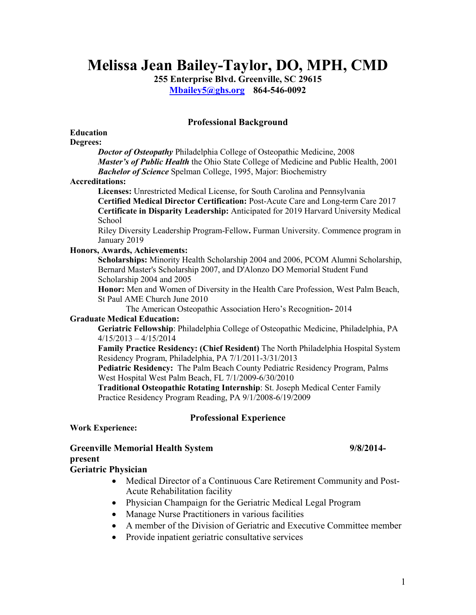# **Melissa Jean Bailey-Taylor, DO, MPH, CMD**

**255 Enterprise Blvd. Greenville, SC 29615 [Mbailey5@ghs.org](mailto:Mbailey5@ghs.org) 864-546-0092**

## **Professional Background**

#### **Education Degrees:**

*Doctor of Osteopathy* Philadelphia College of Osteopathic Medicine, 2008 *Master's of Public Health* the Ohio State College of Medicine and Public Health, 2001 *Bachelor of Science* Spelman College, 1995, Major: Biochemistry

### **Accreditations:**

**Licenses:** Unrestricted Medical License, for South Carolina and Pennsylvania **Certified Medical Director Certification:** Post-Acute Care and Long-term Care 2017 **Certificate in Disparity Leadership:** Anticipated for 2019 Harvard University Medical School

Riley Diversity Leadership Program-Fellow**.** Furman University. Commence program in January 2019

### **Honors, Awards, Achievements:**

**Scholarships:** Minority Health Scholarship 2004 and 2006, PCOM Alumni Scholarship, Bernard Master's Scholarship 2007, and D'Alonzo DO Memorial Student Fund Scholarship 2004 and 2005

**Honor:** Men and Women of Diversity in the Health Care Profession, West Palm Beach, St Paul AME Church June 2010

The American Osteopathic Association Hero's Recognition**-** 2014

### **Graduate Medical Education:**

**Geriatric Fellowship**: Philadelphia College of Osteopathic Medicine, Philadelphia, PA 4/15/2013 – 4/15/2014

**Family Practice Residency: (Chief Resident)** The North Philadelphia Hospital System Residency Program, Philadelphia, PA 7/1/2011-3/31/2013

**Pediatric Residency:** The Palm Beach County Pediatric Residency Program, Palms West Hospital West Palm Beach, FL 7/1/2009-6/30/2010

**Traditional Osteopathic Rotating Internship**: St. Joseph Medical Center Family Practice Residency Program Reading, PA 9/1/2008-6/19/2009

## **Professional Experience**

### **Work Experience:**

**Greenville Memorial Health System 9/8/2014 present**

## **Geriatric Physician**

- Medical Director of a Continuous Care Retirement Community and Post-Acute Rehabilitation facility
- Physician Champaign for the Geriatric Medical Legal Program
- Manage Nurse Practitioners in various facilities
- A member of the Division of Geriatric and Executive Committee member
- Provide inpatient geriatric consultative services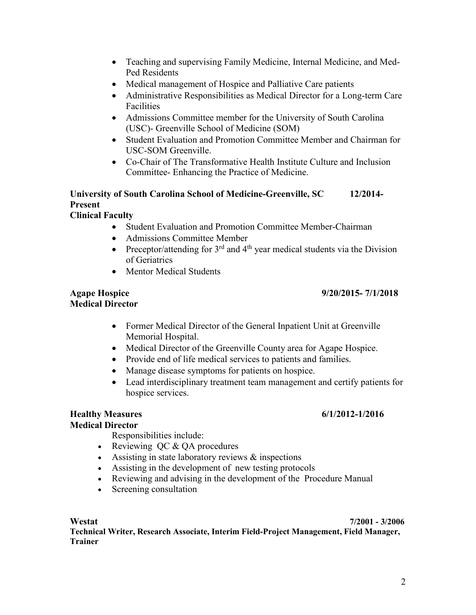- Teaching and supervising Family Medicine, Internal Medicine, and Med-Ped Residents
- Medical management of Hospice and Palliative Care patients
- Administrative Responsibilities as Medical Director for a Long-term Care Facilities
- Admissions Committee member for the University of South Carolina (USC)- Greenville School of Medicine (SOM)
- Student Evaluation and Promotion Committee Member and Chairman for USC-SOM Greenville.
- Co-Chair of The Transformative Health Institute Culture and Inclusion Committee- Enhancing the Practice of Medicine.

## **University of South Carolina School of Medicine-Greenville, SC 12/2014- Present Clinical Faculty**

- Student Evaluation and Promotion Committee Member-Chairman
- Admissions Committee Member
- Preceptor/attending for  $3<sup>rd</sup>$  and  $4<sup>th</sup>$  year medical students via the Division of Geriatrics
- Mentor Medical Students

## **Agape Hospice 9/20/2015- 7/1/2018 Medical Director**

- Former Medical Director of the General Inpatient Unit at Greenville Memorial Hospital.
- Medical Director of the Greenville County area for Agape Hospice.
- Provide end of life medical services to patients and families.
- Manage disease symptoms for patients on hospice.
- Lead interdisciplinary treatment team management and certify patients for hospice services.

## **Healthy Measures 6/1/2012-1/2016**

## **Medical Director**

Responsibilities include:

- Reviewing QC & QA procedures
- Assisting in state laboratory reviews & inspections
- Assisting in the development of new testing protocols
- Reviewing and advising in the development of the Procedure Manual
- Screening consultation

## **Westat 7/2001 - 3/2006**

**Technical Writer, Research Associate, Interim Field-Project Management, Field Manager, Trainer**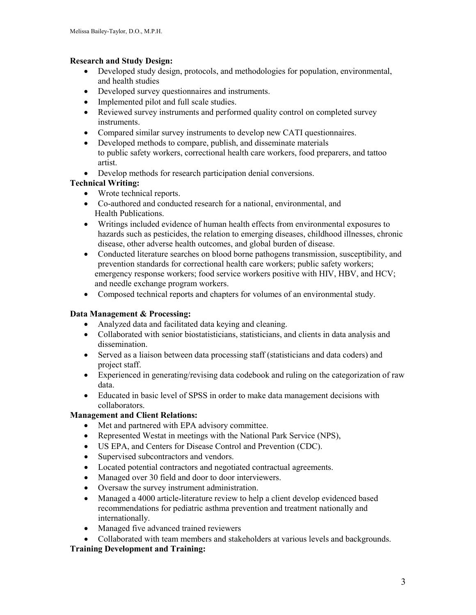## **Research and Study Design:**

- Developed study design, protocols, and methodologies for population, environmental, and health studies
- Developed survey questionnaires and instruments.
- Implemented pilot and full scale studies.
- Reviewed survey instruments and performed quality control on completed survey instruments.
- Compared similar survey instruments to develop new CATI questionnaires.
- Developed methods to compare, publish, and disseminate materials to public safety workers, correctional health care workers, food preparers, and tattoo artist.
- Develop methods for research participation denial conversions.

## **Technical Writing:**

- Wrote technical reports.
- Co-authored and conducted research for a national, environmental, and Health Publications.
- Writings included evidence of human health effects from environmental exposures to hazards such as pesticides, the relation to emerging diseases, childhood illnesses, chronic disease, other adverse health outcomes, and global burden of disease.
- Conducted literature searches on blood borne pathogens transmission, susceptibility, and prevention standards for correctional health care workers; public safety workers; emergency response workers; food service workers positive with HIV, HBV, and HCV; and needle exchange program workers.
- Composed technical reports and chapters for volumes of an environmental study.

## **Data Management & Processing:**

- Analyzed data and facilitated data keying and cleaning.
- Collaborated with senior biostatisticians, statisticians, and clients in data analysis and dissemination.
- Served as a liaison between data processing staff (statisticians and data coders) and project staff.
- Experienced in generating/revising data codebook and ruling on the categorization of raw data.
- Educated in basic level of SPSS in order to make data management decisions with collaborators.

## **Management and Client Relations:**

- Met and partnered with EPA advisory committee.
- Represented Westat in meetings with the National Park Service (NPS),
- US EPA, and Centers for Disease Control and Prevention (CDC).
- Supervised subcontractors and vendors.
- Located potential contractors and negotiated contractual agreements.
- Managed over 30 field and door to door interviewers.
- Oversaw the survey instrument administration.
- Managed a 4000 article-literature review to help a client develop evidenced based recommendations for pediatric asthma prevention and treatment nationally and internationally.
- Managed five advanced trained reviewers
- Collaborated with team members and stakeholders at various levels and backgrounds.

## **Training Development and Training:**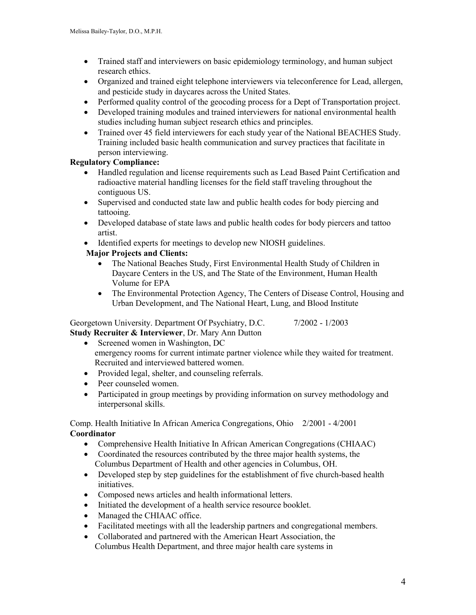- Trained staff and interviewers on basic epidemiology terminology, and human subject research ethics.
- Organized and trained eight telephone interviewers via teleconference for Lead, allergen, and pesticide study in daycares across the United States.
- Performed quality control of the geocoding process for a Dept of Transportation project.
- Developed training modules and trained interviewers for national environmental health studies including human subject research ethics and principles.
- Trained over 45 field interviewers for each study year of the National BEACHES Study. Training included basic health communication and survey practices that facilitate in person interviewing.

## **Regulatory Compliance:**

- Handled regulation and license requirements such as Lead Based Paint Certification and radioactive material handling licenses for the field staff traveling throughout the contiguous US.
- Supervised and conducted state law and public health codes for body piercing and tattooing.
- Developed database of state laws and public health codes for body piercers and tattoo artist.
- Identified experts for meetings to develop new NIOSH guidelines.

## **Major Projects and Clients:**

- The National Beaches Study, First Environmental Health Study of Children in Daycare Centers in the US, and The State of the Environment, Human Health Volume for EPA
- The Environmental Protection Agency, The Centers of Disease Control, Housing and Urban Development, and The National Heart, Lung, and Blood Institute

Georgetown University. Department Of Psychiatry, D.C.  $7/2002 - 1/2003$ **Study Recruiter & Interviewer**, Dr. Mary Ann Dutton

- Screened women in Washington, DC emergency rooms for current intimate partner violence while they waited for treatment. Recruited and interviewed battered women.
- Provided legal, shelter, and counseling referrals.
- Peer counseled women.
- Participated in group meetings by providing information on survey methodology and interpersonal skills.

Comp. Health Initiative In African America Congregations, Ohio 2/2001 - 4/2001 **Coordinator**

- Comprehensive Health Initiative In African American Congregations (CHIAAC)
- Coordinated the resources contributed by the three major health systems, the Columbus Department of Health and other agencies in Columbus, OH.
- Developed step by step guidelines for the establishment of five church-based health initiatives.
- Composed news articles and health informational letters.
- Initiated the development of a health service resource booklet.
- Managed the CHIAAC office.
- Facilitated meetings with all the leadership partners and congregational members.
- Collaborated and partnered with the American Heart Association, the Columbus Health Department, and three major health care systems in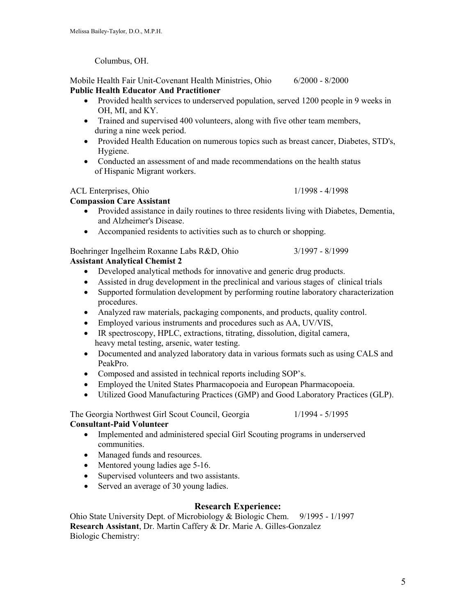Columbus, OH.

Mobile Health Fair Unit-Covenant Health Ministries, Ohio 6/2000 - 8/2000 **Public Health Educator And Practitioner**

- Provided health services to underserved population, served 1200 people in 9 weeks in OH, MI, and KY.
- Trained and supervised 400 volunteers, along with five other team members, during a nine week period.
- Provided Health Education on numerous topics such as breast cancer, Diabetes, STD's, Hygiene.
- Conducted an assessment of and made recommendations on the health status of Hispanic Migrant workers.

## ACL Enterprises, Ohio 1/1998 - 4/1998

## **Compassion Care Assistant**

- Provided assistance in daily routines to three residents living with Diabetes, Dementia, and Alzheimer's Disease.
- Accompanied residents to activities such as to church or shopping.

Boehringer Ingelheim Roxanne Labs R&D, Ohio 3/1997 - 8/1999 **Assistant Analytical Chemist 2**

- Developed analytical methods for innovative and generic drug products.
- Assisted in drug development in the preclinical and various stages of clinical trials
- Supported formulation development by performing routine laboratory characterization procedures.
- Analyzed raw materials, packaging components, and products, quality control.
- Employed various instruments and procedures such as AA, UV/VIS,
- IR spectroscopy, HPLC, extractions, titrating, dissolution, digital camera, heavy metal testing, arsenic, water testing.
- Documented and analyzed laboratory data in various formats such as using CALS and PeakPro.
- Composed and assisted in technical reports including SOP's.
- Employed the United States Pharmacopoeia and European Pharmacopoeia.
- Utilized Good Manufacturing Practices (GMP) and Good Laboratory Practices (GLP).

The Georgia Northwest Girl Scout Council, Georgia 1/1994 - 5/1995

## **Consultant-Paid Volunteer**

- Implemented and administered special Girl Scouting programs in underserved communities.
- Managed funds and resources.
- Mentored young ladies age 5-16.
- Supervised volunteers and two assistants.
- Served an average of 30 young ladies.

## **Research Experience:**

Ohio State University Dept. of Microbiology & Biologic Chem. 9/1995 - 1/1997 **Research Assistant**, Dr. Martin Caffery & Dr. Marie A. Gilles-Gonzalez Biologic Chemistry: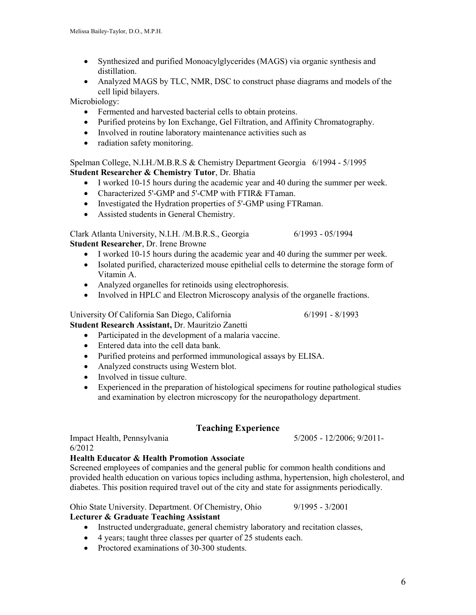- Synthesized and purified Monoacylglycerides (MAGS) via organic synthesis and distillation.
- Analyzed MAGS by TLC, NMR, DSC to construct phase diagrams and models of the cell lipid bilayers.

Microbiology:

- Fermented and harvested bacterial cells to obtain proteins.
- Purified proteins by Ion Exchange, Gel Filtration, and Affinity Chromatography.
- Involved in routine laboratory maintenance activities such as
- radiation safety monitoring.

Spelman College, N.I.H./M.B.R.S & Chemistry Department Georgia 6/1994 - 5/1995 **Student Researcher & Chemistry Tutor**, Dr. Bhatia

- I worked 10-15 hours during the academic year and 40 during the summer per week.
- Characterized 5'-GMP and 5'-CMP with FTIR& FTaman.
- Investigated the Hydration properties of 5'-GMP using FTRaman.
- Assisted students in General Chemistry.

Clark Atlanta University, N.I.H. /M.B.R.S., Georgia 6/1993 - 05/1994 **Student Researcher**, Dr. Irene Browne

- I worked 10-15 hours during the academic year and 40 during the summer per week.
- Isolated purified, characterized mouse epithelial cells to determine the storage form of Vitamin A.
- Analyzed organelles for retinoids using electrophoresis.
- Involved in HPLC and Electron Microscopy analysis of the organelle fractions.

University Of California San Diego, California 6/1991 - 8/1993 **Student Research Assistant,** Dr. Mauritzio Zanetti

- Participated in the development of a malaria vaccine.
- Entered data into the cell data bank.
- Purified proteins and performed immunological assays by ELISA.
- Analyzed constructs using Western blot.
- Involved in tissue culture.
- Experienced in the preparation of histological specimens for routine pathological studies and examination by electron microscopy for the neuropathology department.

## **Teaching Experience**

Impact Health, Pennsylvania 5/2005 - 12/2006; 9/2011- 6/2012

#### **Health Educator & Health Promotion Associate**

Screened employees of companies and the general public for common health conditions and provided health education on various topics including asthma, hypertension, high cholesterol, and diabetes. This position required travel out of the city and state for assignments periodically.

Ohio State University. Department. Of Chemistry, Ohio 9/1995 - 3/2001

**Lecturer & Graduate Teaching Assistant**

- Instructed undergraduate, general chemistry laboratory and recitation classes,
- 4 years; taught three classes per quarter of 25 students each.
- Proctored examinations of 30-300 students.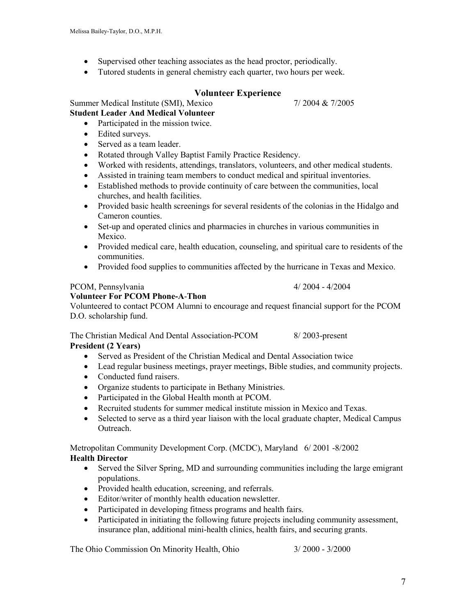- Supervised other teaching associates as the head proctor, periodically.
- Tutored students in general chemistry each quarter, two hours per week.

## **Volunteer Experience**

Summer Medical Institute (SMI), Mexico 7/ 2004 & 7/2005

## **Student Leader And Medical Volunteer**

- Participated in the mission twice.
- Edited surveys.
- Served as a team leader.
- Rotated through Valley Baptist Family Practice Residency.
- Worked with residents, attendings, translators, volunteers, and other medical students.
- Assisted in training team members to conduct medical and spiritual inventories.
- Established methods to provide continuity of care between the communities, local churches, and health facilities.
- Provided basic health screenings for several residents of the colonias in the Hidalgo and Cameron counties.
- Set-up and operated clinics and pharmacies in churches in various communities in Mexico.
- Provided medical care, health education, counseling, and spiritual care to residents of the communities.
- Provided food supplies to communities affected by the hurricane in Texas and Mexico.

## PCOM, Pennsylvania 4/ 2004 - 4/2004

## **Volunteer For PCOM Phone-A**-**Thon**

Volunteered to contact PCOM Alumni to encourage and request financial support for the PCOM D.O. scholarship fund.

The Christian Medical And Dental Association-PCOM 8/ 2003-present **President (2 Years)**

- Served as President of the Christian Medical and Dental Association twice
- Lead regular business meetings, prayer meetings, Bible studies, and community projects.
- Conducted fund raisers.
- Organize students to participate in Bethany Ministries.
- Participated in the Global Health month at PCOM.
- Recruited students for summer medical institute mission in Mexico and Texas.
- Selected to serve as a third year liaison with the local graduate chapter, Medical Campus Outreach.

Metropolitan Community Development Corp. (MCDC), Maryland 6/ 2001 -8/2002 **Health Director**

- Served the Silver Spring, MD and surrounding communities including the large emigrant populations.
- Provided health education, screening, and referrals.
- Editor/writer of monthly health education newsletter.
- Participated in developing fitness programs and health fairs.
- Participated in initiating the following future projects including community assessment, insurance plan, additional mini-health clinics, health fairs, and securing grants.

The Ohio Commission On Minority Health, Ohio 3/ 2000 - 3/2000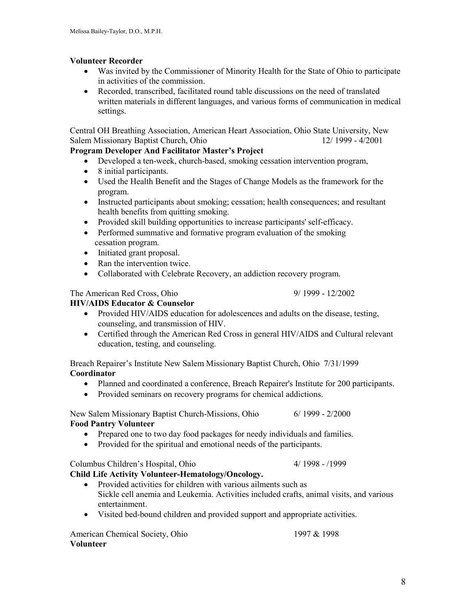## **Volunteer Recorder**

- Was invited by the Commissioner of Minority Health for the State of Ohio to participate in activities of the commission.
- Recorded, transcribed, facilitated round table discussions on the need of translated written materials in different languages, and various forms of communication in medical settings.

Central OH Breathing Association, American Heart Association, Ohio State University, New Salem Missionary Baptist Church, Ohio 12/ 1999 - 4/2001

## **Program Developer And Facilitator Master's Project**

- Developed a ten-week, church-based, smoking cessation intervention program,
- 8 initial participants.
- Used the Health Benefit and the Stages of Change Models as the framework for the program.
- Instructed participants about smoking; cessation; health consequences; and resultant health benefits from quitting smoking.
- Provided skill building opportunities to increase participants' self-efficacy.
- Performed summative and formative program evaluation of the smoking cessation program.
- Initiated grant proposal.
- Ran the intervention twice.
- Collaborated with Celebrate Recovery, an addiction recovery program.

## The American Red Cross, Ohio 9/ 1999 - 12/2002

## **HIV/AIDS Educator & Counselor**

- Provided HIV/AIDS education for adolescences and adults on the disease, testing, counseling, and transmission of HIV.
- Certified through the American Red Cross in general HIV/AIDS and Cultural relevant education, testing, and counseling.

Breach Repairer's Institute New Salem Missionary Baptist Church, Ohio 7/31/1999 **Coordinator**

- Planned and coordinated a conference, Breach Repairer's Institute for 200 participants.
- Provided seminars on recovery programs for chemical addictions.

New Salem Missionary Baptist Church-Missions, Ohio 6/ 1999 - 2/2000 **Food Pantry Volunteer**

- Prepared one to two day food packages for needy individuals and families.
- Provided for the spiritual and emotional needs of the participants.

## Columbus Children's Hospital, Ohio 4/ 1998 - /1999

- **Child Life Activity Volunteer-Hematology/Oncology.**
	- Provided activities for children with various ailments such as Sickle cell anemia and Leukemia. Activities included crafts, animal visits, and various entertainment.
	- Visited bed-bound children and provided support and appropriate activities.

American Chemical Society, Ohio 1997 & 1998 **Volunteer**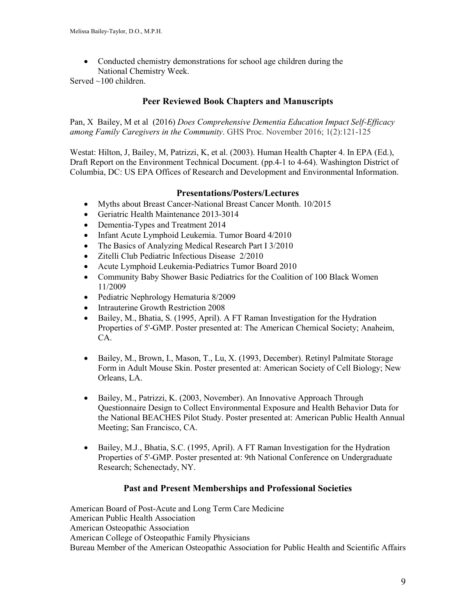• Conducted chemistry demonstrations for school age children during the National Chemistry Week.

Served ~100 children.

## **Peer Reviewed Book Chapters and Manuscripts**

Pan, X Bailey, M et al (2016) *Does Comprehensive Dementia Education Impact Self-Efficacy among Family Caregivers in the Community*. GHS Proc. November 2016; 1(2):121-125

Westat: Hilton, J, Bailey, M, Patrizzi, K, et al. (2003). Human Health Chapter 4. In EPA (Ed.), Draft Report on the Environment Technical Document. (pp.4-1 to 4-64). Washington District of Columbia, DC: US EPA Offices of Research and Development and Environmental Information.

## **Presentations/Posters/Lectures**

- Myths about Breast Cancer-National Breast Cancer Month. 10/2015
- Geriatric Health Maintenance 2013-3014
- Dementia-Types and Treatment 2014
- Infant Acute Lymphoid Leukemia. Tumor Board 4/2010
- The Basics of Analyzing Medical Research Part I 3/2010
- Zitelli Club Pediatric Infectious Disease 2/2010
- Acute Lymphoid Leukemia-Pediatrics Tumor Board 2010
- Community Baby Shower Basic Pediatrics for the Coalition of 100 Black Women 11/2009
- Pediatric Nephrology Hematuria 8/2009
- Intrauterine Growth Restriction 2008
- Bailey, M., Bhatia, S. (1995, April). A FT Raman Investigation for the Hydration Properties of 5'-GMP. Poster presented at: The American Chemical Society; Anaheim, CA.
- Bailey, M., Brown, I., Mason, T., Lu, X. (1993, December). Retinyl Palmitate Storage Form in Adult Mouse Skin. Poster presented at: American Society of Cell Biology; New Orleans, LA.
- Bailey, M., Patrizzi, K. (2003, November). An Innovative Approach Through Questionnaire Design to Collect Environmental Exposure and Health Behavior Data for the National BEACHES Pilot Study. Poster presented at: American Public Health Annual Meeting; San Francisco, CA.
- Bailey, M.J., Bhatia, S.C. (1995, April). A FT Raman Investigation for the Hydration Properties of 5'-GMP. Poster presented at: 9th National Conference on Undergraduate Research; Schenectady, NY.

### **Past and Present Memberships and Professional Societies**

American Board of Post-Acute and Long Term Care Medicine American Public Health Association American Osteopathic Association American College of Osteopathic Family Physicians Bureau Member of the American Osteopathic Association for Public Health and Scientific Affairs